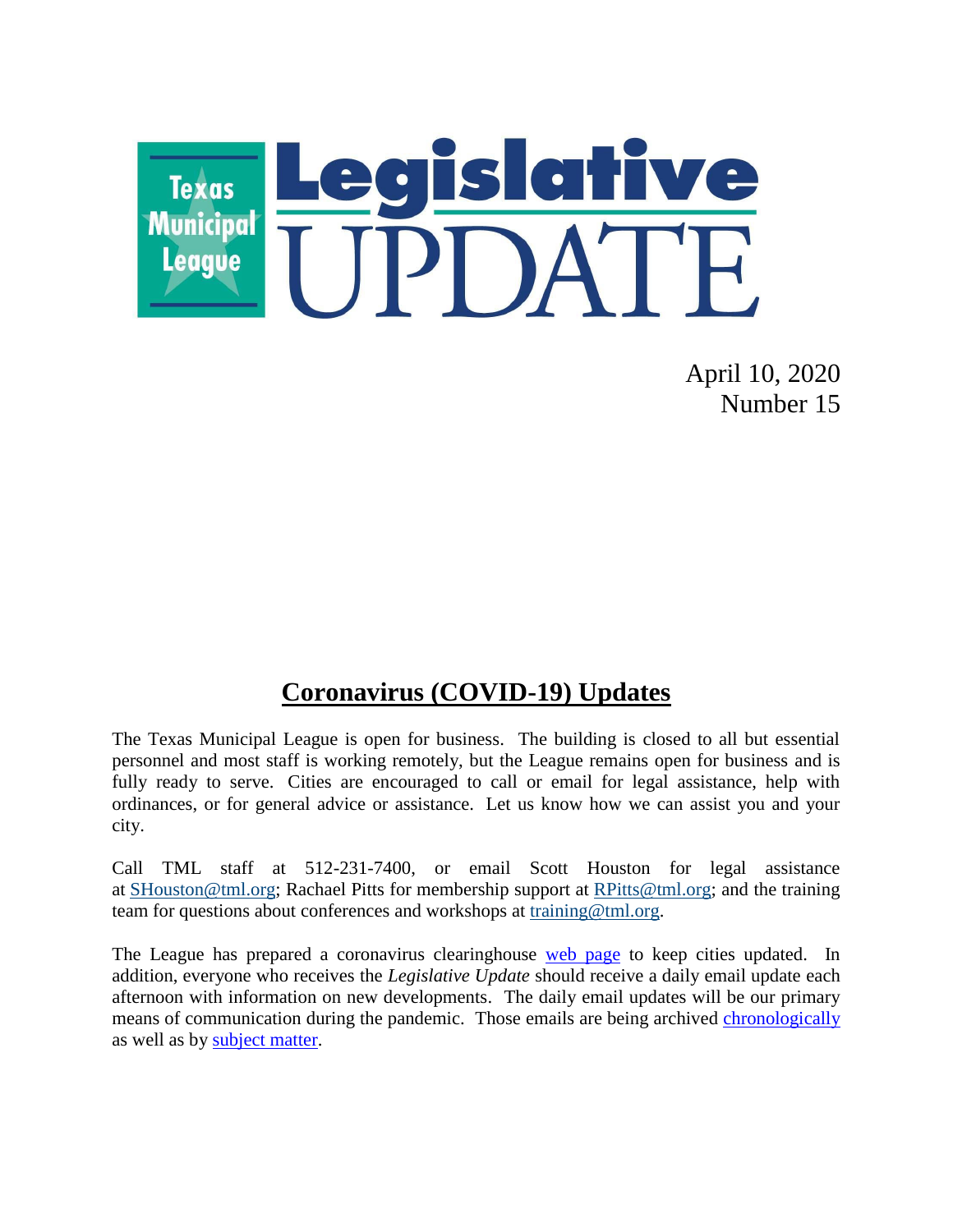

April 10, 2020 Number 15

## **Coronavirus (COVID-19) Updates**

The Texas Municipal League is open for business. The building is closed to all but essential personnel and most staff is working remotely, but the League remains open for business and is fully ready to serve. Cities are encouraged to call or email for legal assistance, help with ordinances, or for general advice or assistance. Let us know how we can assist you and your city.

Call TML staff at 512-231-7400, or email Scott Houston for legal assistance at [SHouston@tml.org;](mailto:SHouston@tml.org) Rachael Pitts for membership support at [RPitts@tml.org;](mailto:RPitts@tml.org) and the training team for questions about conferences and workshops at [training@tml.org.](mailto:training@tml.org)

The League has prepared a coronavirus clearinghouse [web page](https://www.tml.org/654/Coronavirus-COVID-19-Resources) to keep cities updated. In addition, everyone who receives the *Legislative Update* should receive a daily email update each afternoon with information on new developments. The daily email updates will be our primary means of communication during the pandemic. Those emails are being archived [chronologically](https://www.tml.org/Blog.aspx?CID=2) as well as by [subject matter.](https://www.tml.org/659/TML-Coronavirus-Updates-listed-by-subjec)